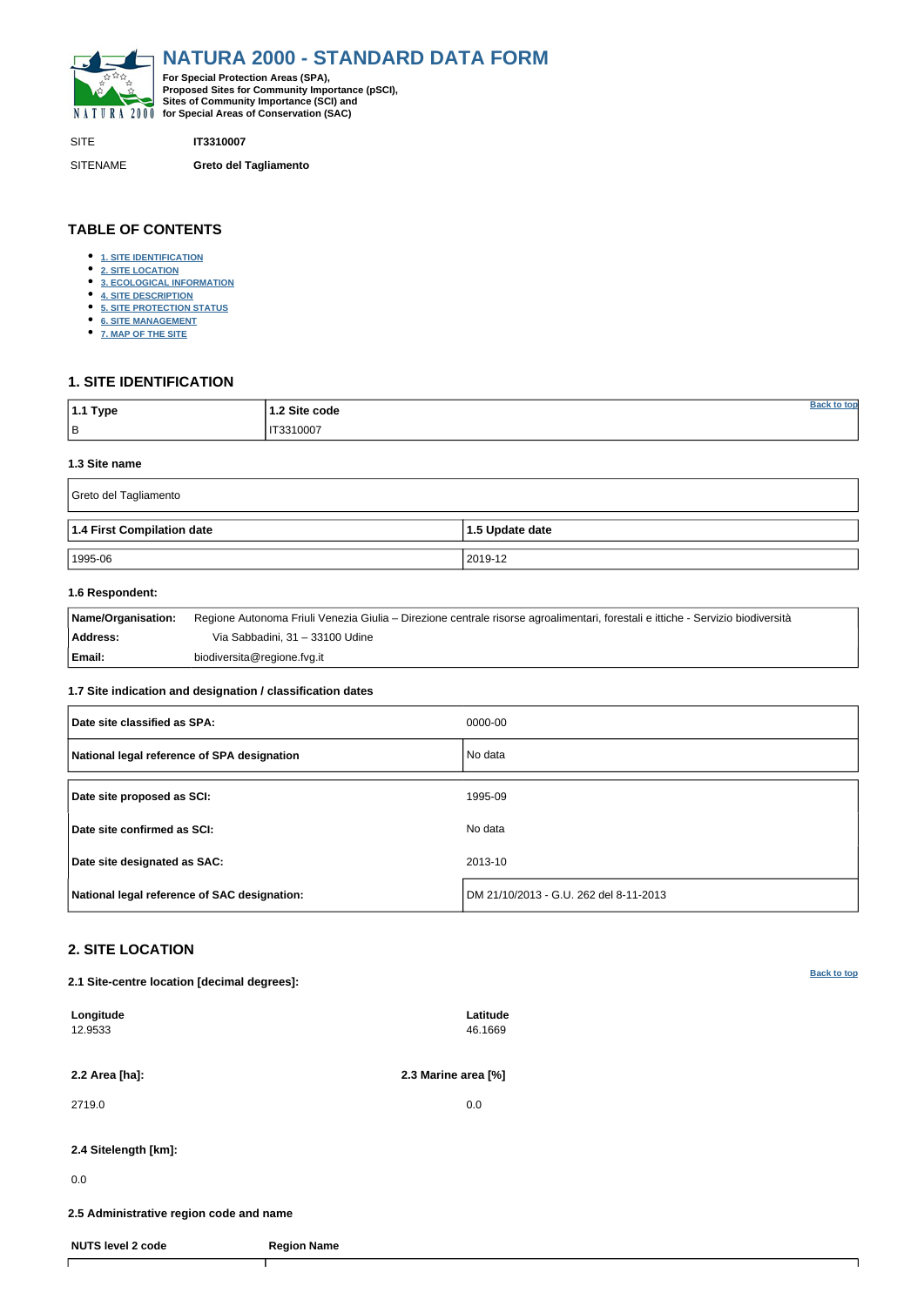<span id="page-0-0"></span>

SITE **IT3310007**

SITENAME **Greto del Tagliamento**

| $\mathbin{\mathsf{I}}$ 1.1 Type | 1.2 Site code |  |
|---------------------------------|---------------|--|
| $\vert$ B                       | IT3310007     |  |

# **TABLE OF CONTENTS**

- **[1. SITE IDENTIFICATION](#page-0-1)**
- **[2. SITE LOCATION](#page-0-2)**
- **[3. ECOLOGICAL INFORMATION](#page-1-0)**
- **[4. SITE DESCRIPTION](#page-3-0)**
- **[5. SITE PROTECTION STATUS](#page-4-0)**
- **[6. SITE MANAGEMENT](#page-4-1)**
- **[7. MAP OF THE SITE](#page-4-2)**

# <span id="page-0-1"></span>**1. SITE IDENTIFICATION**

#### **1.3 Site name**

| Greto del Tagliamento      |                 |  |  |  |  |  |  |  |
|----------------------------|-----------------|--|--|--|--|--|--|--|
| 1.4 First Compilation date | 1.5 Update date |  |  |  |  |  |  |  |
| 1995-06                    | 2019-12         |  |  |  |  |  |  |  |

## **1.6 Respondent:**

| Name/Organisation: | Regione Autonoma Friuli Venezia Giulia – Direzione centrale risorse agroalimentari, forestali e ittiche - Servizio biodiversità |
|--------------------|---------------------------------------------------------------------------------------------------------------------------------|
| Address:           | Via Sabbadini, 31 – 33100 Udine                                                                                                 |
| Email:             | biodiversita@regione.fvg.it                                                                                                     |

### **1.7 Site indication and designation / classification dates**

| Date site classified as SPA:                 | 0000-00                                |
|----------------------------------------------|----------------------------------------|
| National legal reference of SPA designation  | No data                                |
| Date site proposed as SCI:                   | 1995-09                                |
| Date site confirmed as SCI:                  | No data                                |
| Date site designated as SAC:                 | 2013-10                                |
| National legal reference of SAC designation: | DM 21/10/2013 - G.U. 262 del 8-11-2013 |

# <span id="page-0-2"></span>**2. SITE LOCATION**

**2.1 Site-centre location [decimal degrees]:**

| Longitude<br>12.9533                    |                    | Latitude<br>46.1669 |  |  |  |  |  |
|-----------------------------------------|--------------------|---------------------|--|--|--|--|--|
| 2.2 Area [ha]:                          |                    | 2.3 Marine area [%] |  |  |  |  |  |
| 2719.0                                  |                    | 0.0                 |  |  |  |  |  |
| 2.4 Sitelength [km]:                    |                    |                     |  |  |  |  |  |
| 0.0                                     |                    |                     |  |  |  |  |  |
| 2.5 Administrative region code and name |                    |                     |  |  |  |  |  |
| <b>NUTS level 2 code</b>                | <b>Region Name</b> |                     |  |  |  |  |  |
|                                         |                    |                     |  |  |  |  |  |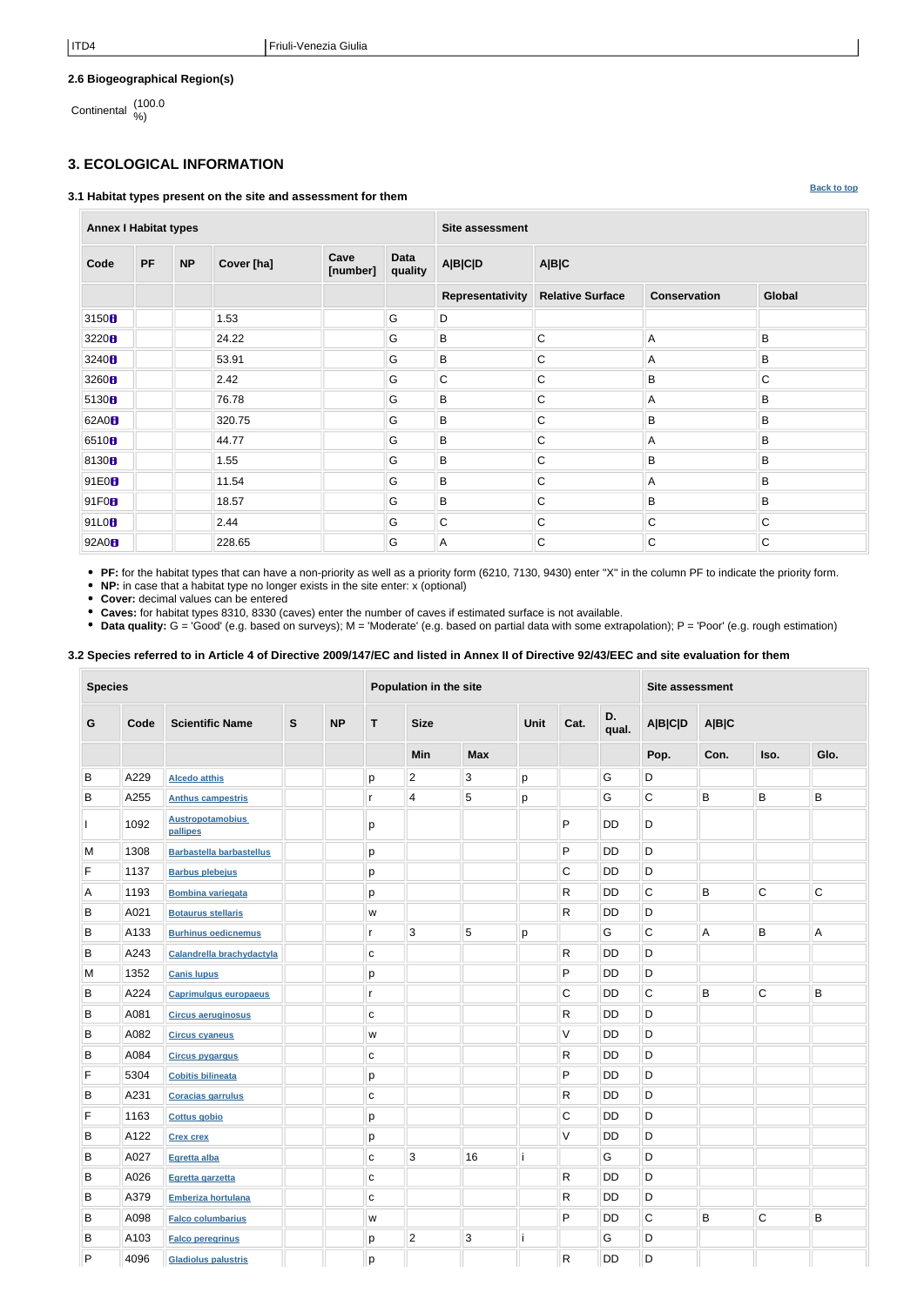**[Back to top](#page-0-0)**

## **2.6 Biogeographical Region(s)**

Continental (100.0 %)

# <span id="page-1-0"></span>**3. ECOLOGICAL INFORMATION**

#### **3.1 Habitat types present on the site and assessment for them**

**Annex I Habitat types Site assessment Code PF NP Cover [ha] Cave [number] Data quality A|B|C|D A|B|C Representativity Relative Surface Conservation Global** 3150 **1.**  $\parallel$  1.53 **G**  $\parallel$  **C**  $\parallel$  D 3220 24.22 G B C A B 3240 **6 53.91 G B C** A B 3260 B 2.42 G C C B B C 5130 76.78 G B C A B 62A0 320.75 G B C B B 6510 44.77 G B C A B 8130 1.55 G B C B B 91E0 11.54 G B C A B 91F0 18.57 G B C B B 91L0 2.44 G C C C C 92A0 228.65 G A C C C

**PF:** for the habitat types that can have a non-priority as well as a priority form (6210, 7130, 9430) enter "X" in the column PF to indicate the priority form.

**NP:** in case that a habitat type no longer exists in the site enter: x (optional)

**Cover:** decimal values can be entered

**Caves:** for habitat types 8310, 8330 (caves) enter the number of caves if estimated surface is not available.

• Data quality: G = 'Good' (e.g. based on surveys); M = 'Moderate' (e.g. based on partial data with some extrapolation); P = 'Poor' (e.g. rough estimation)

**3.2 Species referred to in Article 4 of Directive 2009/147/EC and listed in Annex II of Directive 92/43/EEC and site evaluation for them**

| <b>Species</b> |      |                                     |               |           | Population in the site                                                                |                         |                |      |              |             | <b>Site assessment</b> |         |             |                |  |
|----------------|------|-------------------------------------|---------------|-----------|---------------------------------------------------------------------------------------|-------------------------|----------------|------|--------------|-------------|------------------------|---------|-------------|----------------|--|
| G              | Code | <b>Scientific Name</b>              | ${\mathsf S}$ | <b>NP</b> | $\mathsf{T}$                                                                          | <b>Size</b>             |                | Unit | Cat.         | D.<br>qual. | <b>A B C D</b>         | A B C   |             |                |  |
|                |      |                                     |               |           |                                                                                       | <b>Min</b>              | <b>Max</b>     |      |              |             | Pop.                   | Con.    | Iso.        | Glo.           |  |
| B              | A229 | <b>Alcedo atthis</b>                |               |           | p                                                                                     | $\overline{c}$          | $\mathfrak{S}$ | p    |              | G           | $\mathsf D$            |         |             |                |  |
| B              | A255 | <b>Anthus campestris</b>            |               |           | r                                                                                     | $\overline{\mathbf{4}}$ | 5              | р    |              | G           | $\mathsf C$            | $\sf B$ | B           | $\sf B$        |  |
|                | 1092 | <b>Austropotamobius</b><br>pallipes |               |           | р                                                                                     |                         |                |      | P            | <b>DD</b>   | D                      |         |             |                |  |
| M              | 1308 | <b>Barbastella barbastellus</b>     |               |           | p                                                                                     |                         |                |      | P            | DD          | D                      |         |             |                |  |
| F              | 1137 | <b>Barbus plebejus</b>              |               |           | р                                                                                     |                         |                |      | $\mathsf C$  | DD          | D                      |         |             |                |  |
| A              | 1193 | <b>Bombina variegata</b>            |               |           | p                                                                                     |                         |                |      | R            | DD          | C                      | B       | $\mathsf C$ | $\mathsf C$    |  |
| B              | A021 | <b>Botaurus stellaris</b>           |               |           | W                                                                                     |                         |                |      | R.           | DD          | D                      |         |             |                |  |
| B              | A133 | <b>Burhinus oedicnemus</b>          |               |           | r                                                                                     | $\sqrt{3}$              | 5              | p    |              | G           | $\mathsf C$            | A       | B           | A              |  |
| B              | A243 | Calandrella brachydactyla           |               |           | C                                                                                     |                         |                |      | R            | DD          | D                      |         |             |                |  |
| M              | 1352 | <b>Canis lupus</b>                  |               |           | p                                                                                     |                         |                |      | P            | DD          | D                      |         |             |                |  |
| B              | A224 | <b>Caprimulgus europaeus</b>        |               |           | r                                                                                     |                         |                |      | C            | DD          | $\mathsf C$            | B       | С           | B              |  |
| B              | A081 | <b>Circus aeruginosus</b>           |               |           | $\mathbf C$                                                                           |                         |                |      | R            | DD          | D                      |         |             |                |  |
| B              | A082 | <b>Circus cyaneus</b>               |               |           | W                                                                                     |                         |                |      | V            | DD          | D                      |         |             |                |  |
| B              | A084 | <b>Circus pygargus</b>              |               |           | С                                                                                     |                         |                |      | R            | DD          | D                      |         |             |                |  |
| F              | 5304 | <b>Cobitis bilineata</b>            |               |           | р                                                                                     |                         |                |      | P            | DD          | D                      |         |             |                |  |
| B              | A231 | <b>Coracias garrulus</b>            |               |           | $\mathbf C$                                                                           |                         |                |      | R.           | DD          | D                      |         |             |                |  |
| F              | 1163 | <b>Cottus gobio</b>                 |               |           | p                                                                                     |                         |                |      | $\mathsf C$  | DD          | D                      |         |             |                |  |
| B              | A122 | <b>Crex crex</b>                    |               |           | p                                                                                     |                         |                |      | V            | DD          | D                      |         |             |                |  |
| B              | A027 | Egretta alba                        |               |           | C                                                                                     | $\mathbf{3}$            | 16             |      |              | G           | $\mathsf{D}$           |         |             |                |  |
| B              | A026 | Egretta garzetta                    |               |           | C                                                                                     |                         |                |      | $\mathsf{R}$ | DD          | D                      |         |             |                |  |
| B              | A379 | <b>Emberiza hortulana</b>           |               |           | C                                                                                     |                         |                |      | R.           | DD          | D                      |         |             |                |  |
| B              | A098 | <b>Falco columbarius</b>            |               |           | $\mathsf{W}% _{T}=\mathsf{W}_{T}\!\left( a,b\right) ,\ \mathsf{W}_{T}=\mathsf{W}_{T}$ |                         |                |      | P            | DD          | $\mathbf C$            | B       | $\mathsf C$ | $\overline{B}$ |  |
| B              | A103 | <b>Falco peregrinus</b>             |               |           | p                                                                                     | $\overline{c}$          | 3              |      |              | G           | D                      |         |             |                |  |
| P              | 4096 | <b>Gladiolus palustris</b>          |               |           | p                                                                                     |                         |                |      | $\mathsf{R}$ | DD          | D                      |         |             |                |  |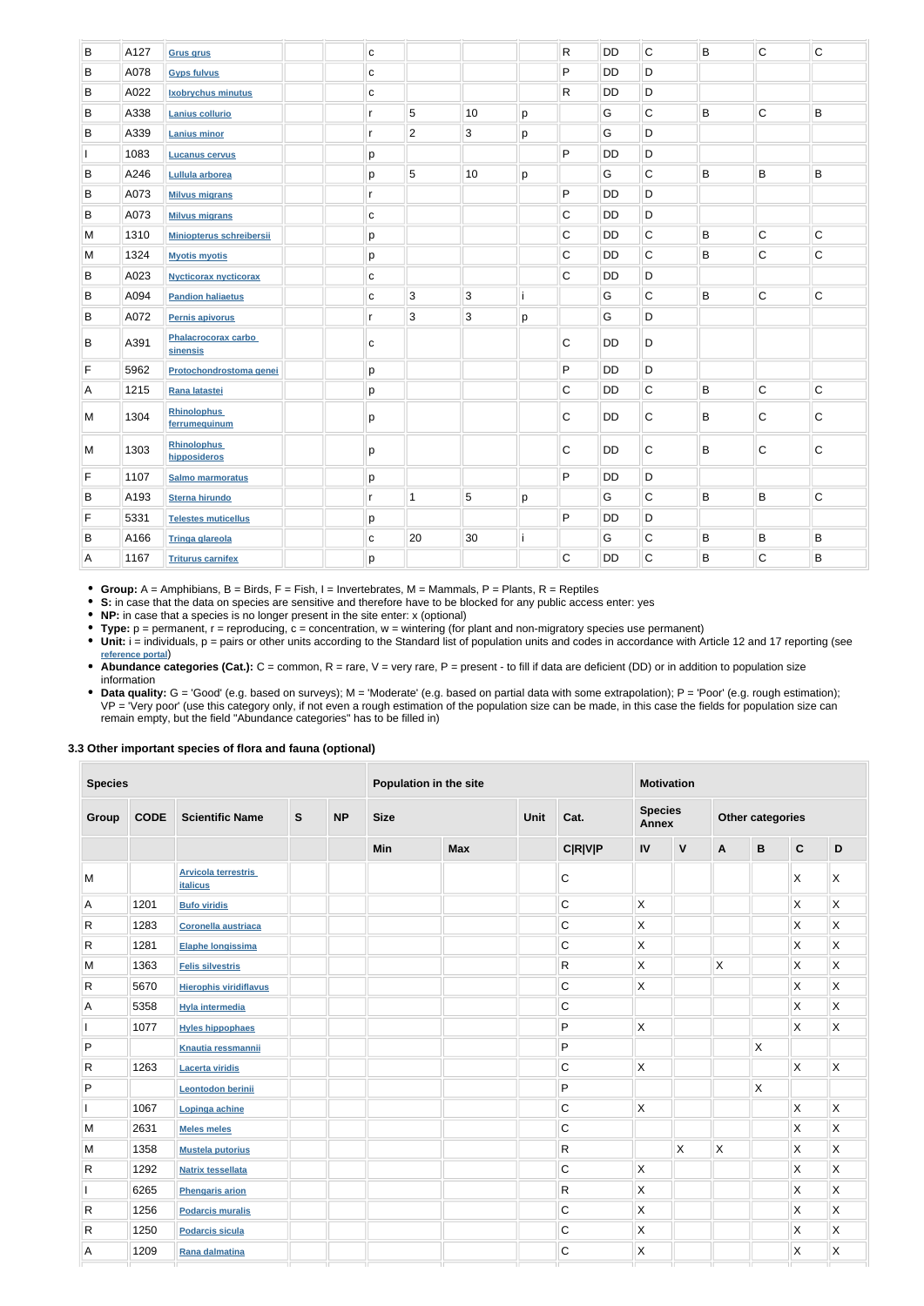| B            | A127 | <b>Grus grus</b>                    | C            |                |                 |   | ${\sf R}$    | DD        | $\overline{C}$ | B | $\overline{C}$          | $\mathsf C$ |
|--------------|------|-------------------------------------|--------------|----------------|-----------------|---|--------------|-----------|----------------|---|-------------------------|-------------|
| B            | A078 | <b>Gyps fulvus</b>                  | $\mathbf c$  |                |                 |   | $\mathsf{P}$ | <b>DD</b> | D              |   |                         |             |
| B            | A022 | <b>Ixobrychus minutus</b>           | $\mathbf{C}$ |                |                 |   | $\mathsf{R}$ | DD        | D              |   |                         |             |
| B            | A338 | <b>Lanius collurio</b>              | $\mathsf{r}$ | 5              | 10              | p |              | G         | $\overline{C}$ | B | $\overline{C}$          | B           |
| B            | A339 | <b>Lanius minor</b>                 | $\mathsf{r}$ | $\overline{2}$ | 3               | p |              | G         | D              |   |                         |             |
| <sup>1</sup> | 1083 | <b>Lucanus cervus</b>               | р            |                |                 |   | $\mathsf{P}$ | DD        | D              |   |                         |             |
| $\sf B$      | A246 | Lullula arborea                     | p            | 5              | 10              | p |              | G         | $\overline{C}$ | B | $\overline{B}$          | B           |
| B            | A073 | <b>Milvus migrans</b>               | r            |                |                 |   | $\mathsf{P}$ | <b>DD</b> | D              |   |                         |             |
| B            | A073 | <b>Milvus migrans</b>               | С            |                |                 |   | $\mathsf C$  | <b>DD</b> | D              |   |                         |             |
| M            | 1310 | <b>Miniopterus schreibersii</b>     | p            |                |                 |   | $\mathsf C$  | DD        | $\overline{C}$ | B | $\overline{\mathsf{C}}$ | $\mathsf C$ |
| M            | 1324 | <b>Myotis myotis</b>                | p            |                |                 |   | $\mathsf C$  | <b>DD</b> | $\overline{C}$ | B | $\overline{C}$          | $\mathsf C$ |
| B            | A023 | <b>Nycticorax nycticorax</b>        | $\mathbf{C}$ |                |                 |   | $\mathbf C$  | DD        | D              |   |                         |             |
| B            | A094 | <b>Pandion haliaetus</b>            | $\mathbf{C}$ | 3              | $\mathbf{3}$    |   |              | G         | $\overline{C}$ | B | $\overline{C}$          | $\mathsf C$ |
| B            | A072 | Pernis apivorus                     | $\mathsf{r}$ | 3              | $\sqrt{3}$      | p |              | G         | D              |   |                         |             |
| B            | A391 | Phalacrocorax carbo<br>sinensis     | C            |                |                 |   | $\mathbf C$  | <b>DD</b> | D              |   |                         |             |
| F            | 5962 | Protochondrostoma genei             | p            |                |                 |   | $\sf P$      | <b>DD</b> | D              |   |                         |             |
| Α            | 1215 | Rana latastei                       | p            |                |                 |   | $\mathbf C$  | DD        | $\overline{C}$ | B | $\overline{c}$          | $\mathsf C$ |
| M            | 1304 | <b>Rhinolophus</b><br>ferrumequinum | р            |                |                 |   | $\mathbf C$  | DD        | C              | B | C                       | C           |
| M            | 1303 | <b>Rhinolophus</b><br>hipposideros  | р            |                |                 |   | $\mathbf C$  | <b>DD</b> | $\mathsf C$    | B | $\overline{C}$          | $\mathsf C$ |
| F            | 1107 | <b>Salmo marmoratus</b>             | p            |                |                 |   | $\mathsf{P}$ | DD        | D              |   |                         |             |
| $\sf B$      | A193 | <b>Sterna hirundo</b>               | r            | $\overline{1}$ | $5\phantom{.0}$ | p |              | G         | $\overline{C}$ | B | $\sf B$                 | $\mathsf C$ |
| $\mathsf F$  | 5331 | <b>Telestes muticellus</b>          | p            |                |                 |   | ${\sf P}$    | DD        | D              |   |                         |             |
| B            | A166 | <b>Tringa glareola</b>              | $\mathbf{C}$ | 20             | 30              |   |              | G         | $\overline{C}$ | B | B                       | B           |
| A            | 1167 | <b>Triturus carnifex</b>            | p            |                |                 |   | $\mathsf C$  | <b>DD</b> | $\mathsf C$    | B | $\overline{C}$          | B           |
|              |      |                                     |              |                |                 |   |              |           |                |   |                         |             |

• Unit: i = individuals, p = pairs or other units according to the Standard list of population units and codes in accordance with Article 12 and 17 reporting (see **[reference portal](http://bd.eionet.europa.eu/activities/Natura_2000/reference_portal)**)

• Abundance categories (Cat.): C = common, R = rare, V = very rare, P = present - to fill if data are deficient (DD) or in addition to population size information

**Group:** A = Amphibians, B = Birds, F = Fish, I = Invertebrates, M = Mammals, P = Plants, R = Reptiles

• Data quality: G = 'Good' (e.g. based on surveys); M = 'Moderate' (e.g. based on partial data with some extrapolation); P = 'Poor' (e.g. rough estimation); VP = 'Very poor' (use this category only, if not even a rough estimation of the population size can be made, in this case the fields for population size can remain empty, but the field "Abundance categories" has to be filled in)

**S:** in case that the data on species are sensitive and therefore have to be blocked for any public access enter: yes

**NP:** in case that a species is no longer present in the site enter: x (optional)

**Type:** p = permanent, r = reproducing, c = concentration, w = wintering (for plant and non-migratory species use permanent)

### **3.3 Other important species of flora and fauna (optional)**

| <b>Species</b> |             |                                               |                                                          | Population in the site |     |            |  | <b>Motivation</b> |                         |                         |                  |             |                |                         |  |  |  |  |  |  |                                |  |  |                         |  |  |
|----------------|-------------|-----------------------------------------------|----------------------------------------------------------|------------------------|-----|------------|--|-------------------|-------------------------|-------------------------|------------------|-------------|----------------|-------------------------|--|--|--|--|--|--|--------------------------------|--|--|-------------------------|--|--|
| <b>Group</b>   | <b>CODE</b> | <b>Scientific Name</b>                        | $\mathbf{s}$<br><b>NP</b><br><b>Size</b><br>Unit<br>Cat. |                        |     |            |  |                   |                         |                         |                  |             |                |                         |  |  |  |  |  |  | <b>Species</b><br><b>Annex</b> |  |  | <b>Other categories</b> |  |  |
|                |             |                                               |                                                          |                        | Min | <b>Max</b> |  | <b>C R V P</b>    | IV                      | $\mathsf{V}$            | $\boldsymbol{A}$ | $\mathbf B$ | $\mathbf C$    | $\mathsf D$             |  |  |  |  |  |  |                                |  |  |                         |  |  |
| M              |             | <b>Arvicola terrestris</b><br><b>italicus</b> |                                                          |                        |     |            |  | С                 |                         |                         |                  |             | X              | X                       |  |  |  |  |  |  |                                |  |  |                         |  |  |
| Α              | 1201        | <b>Bufo viridis</b>                           |                                                          |                        |     |            |  | С                 | $\mathsf{X}$            |                         |                  |             | X              | $\mathsf{\overline{X}}$ |  |  |  |  |  |  |                                |  |  |                         |  |  |
| R              | 1283        | Coronella austriaca                           |                                                          |                        |     |            |  | $\mathsf C$       | $\mathsf{X}$            |                         |                  |             | $\mathsf X$    | $\mathsf X$             |  |  |  |  |  |  |                                |  |  |                         |  |  |
| R              | 1281        | Elaphe longissima                             |                                                          |                        |     |            |  | C                 | $\mathsf{X}$            |                         |                  |             | $\mathsf X$    | $\mathsf X$             |  |  |  |  |  |  |                                |  |  |                         |  |  |
| M              | 1363        | <b>Felis silvestris</b>                       |                                                          |                        |     |            |  | R                 | $\mathsf{\overline{X}}$ |                         | X                |             | $\mathsf{X}$   | X                       |  |  |  |  |  |  |                                |  |  |                         |  |  |
| R              | 5670        | <b>Hierophis viridiflavus</b>                 |                                                          |                        |     |            |  | $\mathsf C$       | $\mathsf{X}$            |                         |                  |             | $\mathsf X$    | X                       |  |  |  |  |  |  |                                |  |  |                         |  |  |
| A              | 5358        | <b>Hyla intermedia</b>                        |                                                          |                        |     |            |  | $\mathsf C$       |                         |                         |                  |             | $\mathsf X$    | $\mathsf{\overline{X}}$ |  |  |  |  |  |  |                                |  |  |                         |  |  |
|                | 1077        | <b>Hyles hippophaes</b>                       |                                                          |                        |     |            |  | P                 | $\mathsf{X}$            |                         |                  |             | $\mathsf X$    | $\mathsf X$             |  |  |  |  |  |  |                                |  |  |                         |  |  |
| P              |             | Knautia ressmannii                            |                                                          |                        |     |            |  | P                 |                         |                         |                  | X           |                |                         |  |  |  |  |  |  |                                |  |  |                         |  |  |
| R              | 1263        | <b>Lacerta viridis</b>                        |                                                          |                        |     |            |  | $\mathsf C$       | X.                      |                         |                  |             | $\sf X$        | $\mathsf X$             |  |  |  |  |  |  |                                |  |  |                         |  |  |
| P              |             | <b>Leontodon berinii</b>                      |                                                          |                        |     |            |  | P                 |                         |                         |                  | X           |                |                         |  |  |  |  |  |  |                                |  |  |                         |  |  |
|                | 1067        | Lopinga achine                                |                                                          |                        |     |            |  | $\mathsf C$       | X.                      |                         |                  |             | $\mathsf X$    | $\mathsf{\overline{X}}$ |  |  |  |  |  |  |                                |  |  |                         |  |  |
| M              | 2631        | <b>Meles meles</b>                            |                                                          |                        |     |            |  | $\mathsf C$       |                         |                         |                  |             | $\pmb{\times}$ | $\mathsf X$             |  |  |  |  |  |  |                                |  |  |                         |  |  |
| M              | 1358        | <b>Mustela putorius</b>                       |                                                          |                        |     |            |  | R                 |                         | $\mathsf{\overline{X}}$ | X                |             | X              | $\mathsf X$             |  |  |  |  |  |  |                                |  |  |                         |  |  |
| $\mathsf{R}$   | 1292        | <b>Natrix tessellata</b>                      |                                                          |                        |     |            |  | C                 | $\mathsf{X}$            |                         |                  |             | X              | $\mathsf X$             |  |  |  |  |  |  |                                |  |  |                         |  |  |
|                | 6265        | <b>Phengaris arion</b>                        |                                                          |                        |     |            |  | R                 | $\mathsf{\overline{X}}$ |                         |                  |             | $\mathsf X$    | X                       |  |  |  |  |  |  |                                |  |  |                         |  |  |
| ${\sf R}$      | 1256        | <b>Podarcis muralis</b>                       |                                                          |                        |     |            |  | C                 | $\mathsf{X}$            |                         |                  |             | X              | X                       |  |  |  |  |  |  |                                |  |  |                         |  |  |
| R              | 1250        | <b>Podarcis sicula</b>                        |                                                          |                        |     |            |  | C                 | $\mathsf{\overline{X}}$ |                         |                  |             | X              | Χ                       |  |  |  |  |  |  |                                |  |  |                         |  |  |
| Α              | 1209        | Rana dalmatina                                |                                                          |                        |     |            |  | C                 | X                       |                         |                  |             | Χ              | Χ                       |  |  |  |  |  |  |                                |  |  |                         |  |  |
|                |             |                                               |                                                          |                        |     |            |  |                   |                         |                         |                  |             |                |                         |  |  |  |  |  |  |                                |  |  |                         |  |  |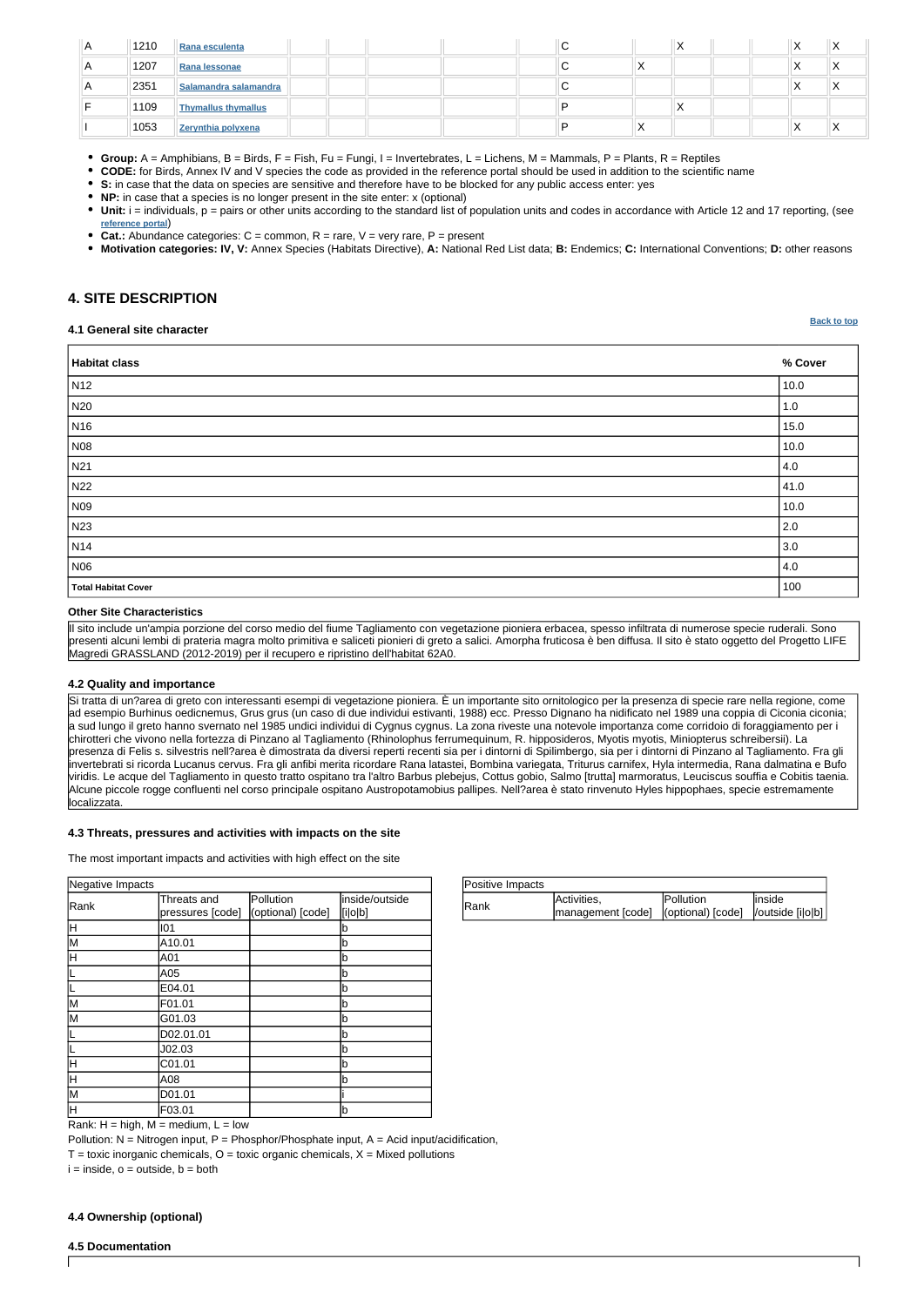| Positive Impacts |                                                                          |                   |         |
|------------------|--------------------------------------------------------------------------|-------------------|---------|
| <b>IRank</b>     | Activities,<br> management [code]   (optional) [code]   /outside [i]o]b] | <b>IPollution</b> | linside |

Rank:  $H = high$ ,  $M = medium$ ,  $L = low$ 

Pollution:  $N = N$ itrogen input, P = Phosphor/Phosphate input, A = Acid input/acidification,

 $T =$  toxic inorganic chemicals,  $O =$  toxic organic chemicals,  $X =$  Mixed pollutions

 $i = inside, o = outside, b = both$ 

| Negative Impacts |                                 |                                |                           |
|------------------|---------------------------------|--------------------------------|---------------------------|
| Rank             | Threats and<br>pressures [code] | Pollution<br>(optional) [code] | inside/outside<br>[i o b] |
| H                | 1101                            |                                | b                         |
| lм               | A10.01                          |                                | b                         |
| H                | A01                             |                                | b                         |
|                  | A05                             |                                | b                         |
|                  | E04.01                          |                                | b                         |
| M                | F01.01                          |                                | b                         |
| lм               | G01.03                          |                                | b                         |
|                  | D02.01.01                       |                                | b                         |
|                  | J02.03                          |                                | b                         |
| H                | C01.01                          |                                | b                         |
| lΗ               | A08                             |                                | b                         |
| lМ               | D01.01                          |                                |                           |
| lн               | F03.01                          |                                | b                         |

**[Back to top](#page-0-0)**

| $\overline{A}$ | 1210 | Rana esculenta        |  |  | ັ |           |  | $\sqrt{}$<br>⌒ | $\lambda$ |
|----------------|------|-----------------------|--|--|---|-----------|--|----------------|-----------|
| n              | 1207 | Rana lessonae         |  |  |   | $\lambda$ |  | ↗              | $\lambda$ |
| A              | 2351 | Salamandra salamandra |  |  |   |           |  | ↗              | $\lambda$ |
|                | 1109 | Thymallus thymallus   |  |  |   |           |  |                |           |
|                | 1053 | Zerynthia polyxena    |  |  |   |           |  | ↗              | $\lambda$ |

• Unit: i = individuals, p = pairs or other units according to the standard list of population units and codes in accordance with Article 12 and 17 reporting, (see **[reference portal](http://bd.eionet.europa.eu/activities/Natura_2000/reference_portal)**)

• Cat.: Abundance categories:  $C =$  common,  $R =$  rare,  $V =$  very rare,  $P =$  present

**Group:** A = Amphibians, B = Birds, F = Fish, Fu = Fungi, I = Invertebrates, L = Lichens, M = Mammals, P = Plants, R = Reptiles

**CODE:** for Birds, Annex IV and V species the code as provided in the reference portal should be used in addition to the scientific name

**S:** in case that the data on species are sensitive and therefore have to be blocked for any public access enter: yes

**NP:** in case that a species is no longer present in the site enter: x (optional)

**Motivation categories: IV, V:** Annex Species (Habitats Directive), **A:** National Red List data; **B:** Endemics; **C:** International Conventions; **D:** other reasons

# <span id="page-3-0"></span>**4. SITE DESCRIPTION**

#### **4.1 General site character**

| Habitat class              | % Cover     |
|----------------------------|-------------|
| N <sub>12</sub>            | 10.0        |
| N20                        | 1.0         |
| N <sub>16</sub>            | 15.0        |
| N08                        | 10.0        |
| N <sub>21</sub>            | 4.0         |
| N22                        | 41.0        |
| N09                        | 10.0        |
| N23                        | $\vert$ 2.0 |
| N <sub>14</sub>            | 3.0         |
| N06                        | 4.0         |
| <b>Total Habitat Cover</b> | 100         |

#### **Other Site Characteristics**

Il sito include un'ampia porzione del corso medio del fiume Tagliamento con vegetazione pioniera erbacea, spesso infiltrata di numerose specie ruderali. Sono presenti alcuni lembi di prateria magra molto primitiva e saliceti pionieri di greto a salici. Amorpha fruticosa è ben diffusa. Il sito è stato oggetto del Progetto LIFE Magredi GRASSLAND (2012-2019) per il recupero e ripristino dell'habitat 62A0.

## **4.2 Quality and importance**

Si tratta di un?area di greto con interessanti esempi di vegetazione pioniera. È un importante sito ornitologico per la presenza di specie rare nella regione, come ad esempio Burhinus oedicnemus, Grus grus (un caso di due individui estivanti, 1988) ecc. Presso Dignano ha nidificato nel 1989 una coppia di Ciconia ciconia; a sud lungo il greto hanno svernato nel 1985 undici individui di Cygnus cygnus. La zona riveste una notevole importanza come corridoio di foraggiamento per i chirotteri che vivono nella fortezza di Pinzano al Tagliamento (Rhinolophus ferrumequinum, R. hipposideros, Myotis myotis, Miniopterus schreibersii). La presenza di Felis s. silvestris nell?area è dimostrata da diversi reperti recenti sia per i dintorni di Spilimbergo, sia per i dintorni di Pinzano al Tagliamento. Fra gli invertebrati si ricorda Lucanus cervus. Fra gli anfibi merita ricordare Rana latastei, Bombina variegata, Triturus carnifex, Hyla intermedia, Rana dalmatina e Bufo viridis. Le acque del Tagliamento in questo tratto ospitano tra l'altro Barbus plebejus, Cottus gobio, Salmo [trutta] marmoratus, Leuciscus souffia e Cobitis taenia. Alcune piccole rogge confluenti nel corso principale ospitano Austropotamobius pallipes. Nell?area è stato rinvenuto Hyles hippophaes, specie estremamente localizzata.

#### **4.3 Threats, pressures and activities with impacts on the site**

The most important impacts and activities with high effect on the site

#### **4.4 Ownership (optional)**

#### **4.5 Documentation**